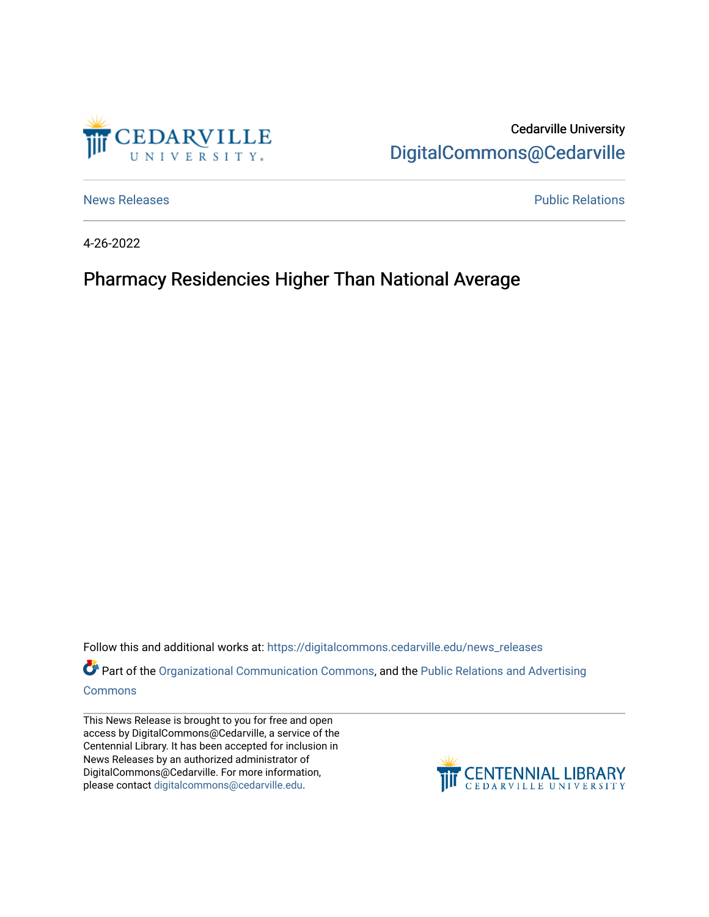

Cedarville University [DigitalCommons@Cedarville](https://digitalcommons.cedarville.edu/) 

[News Releases](https://digitalcommons.cedarville.edu/news_releases) **Public Relations Public Relations** 

4-26-2022

## Pharmacy Residencies Higher Than National Average

Follow this and additional works at: [https://digitalcommons.cedarville.edu/news\\_releases](https://digitalcommons.cedarville.edu/news_releases?utm_source=digitalcommons.cedarville.edu%2Fnews_releases%2F1544&utm_medium=PDF&utm_campaign=PDFCoverPages) 

Part of the [Organizational Communication Commons](http://network.bepress.com/hgg/discipline/335?utm_source=digitalcommons.cedarville.edu%2Fnews_releases%2F1544&utm_medium=PDF&utm_campaign=PDFCoverPages), and the Public Relations and Advertising [Commons](http://network.bepress.com/hgg/discipline/336?utm_source=digitalcommons.cedarville.edu%2Fnews_releases%2F1544&utm_medium=PDF&utm_campaign=PDFCoverPages)

This News Release is brought to you for free and open access by DigitalCommons@Cedarville, a service of the Centennial Library. It has been accepted for inclusion in News Releases by an authorized administrator of DigitalCommons@Cedarville. For more information, please contact [digitalcommons@cedarville.edu](mailto:digitalcommons@cedarville.edu).

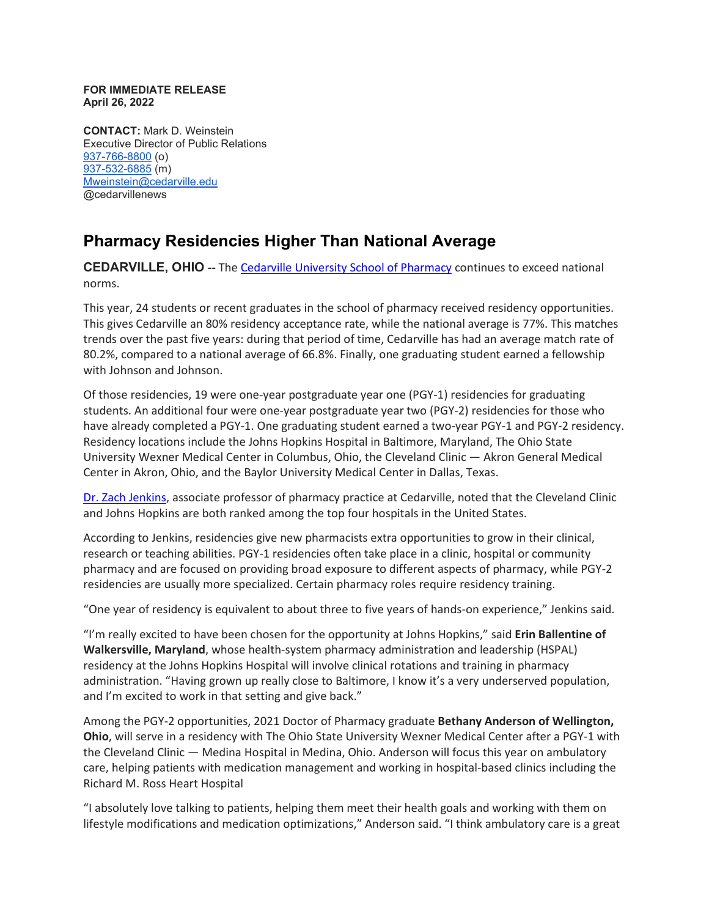## **FOR IMMEDIATE RELEASE April 26, 2022**

**CONTACT:** Mark D. Weinstein Executive Director of Public Relations [937-766-8800](tel:937-766-8800) (o) [937-532-6885](tel:937-532-6885) (m) [Mweinstein@cedarville.edu](mailto:Mweinstein@cedarville.edu) @cedarvillenews

## **Pharmacy Residencies Higher Than National Average**

**CEDARVILLE, OHIO --** The [Cedarville University School of Pharmacy](https://www.cedarville.edu/academic-schools-and-departments/pharmacy) continues to exceed national norms.

This year, 24 students or recent graduates in the school of pharmacy received residency opportunities. This gives Cedarville an 80% residency acceptance rate, while the national average is 77%. This matches trends over the past five years: during that period of time, Cedarville has had an average match rate of 80.2%, compared to a national average of 66.8%. Finally, one graduating student earned a fellowship with Johnson and Johnson.

Of those residencies, 19 were one-year postgraduate year one (PGY-1) residencies for graduating students. An additional four were one-year postgraduate year two (PGY-2) residencies for those who have already completed a PGY-1. One graduating student earned a two-year PGY-1 and PGY-2 residency. Residency locations include the Johns Hopkins Hospital in Baltimore, Maryland, The Ohio State University Wexner Medical Center in Columbus, Ohio, the Cleveland Clinic — Akron General Medical Center in Akron, Ohio, and the Baylor University Medical Center in Dallas, Texas.

[Dr. Zach Jenkins,](https://www.cedarville.edu/academic-schools-and-departments/pharmacy/pre-pharmacy/faculty-staff/pharm-pract/jenkins-zachary) associate professor of pharmacy practice at Cedarville, noted that the Cleveland Clinic and Johns Hopkins are both ranked among the top four hospitals in the United States.

According to Jenkins, residencies give new pharmacists extra opportunities to grow in their clinical, research or teaching abilities. PGY-1 residencies often take place in a clinic, hospital or community pharmacy and are focused on providing broad exposure to different aspects of pharmacy, while PGY-2 residencies are usually more specialized. Certain pharmacy roles require residency training.

"One year of residency is equivalent to about three to five years of hands-on experience," Jenkins said.

"I'm really excited to have been chosen for the opportunity at Johns Hopkins," said **Erin Ballentine of Walkersville, Maryland**, whose health-system pharmacy administration and leadership (HSPAL) residency at the Johns Hopkins Hospital will involve clinical rotations and training in pharmacy administration. "Having grown up really close to Baltimore, I know it's a very underserved population, and I'm excited to work in that setting and give back."

Among the PGY-2 opportunities, 2021 Doctor of Pharmacy graduate **Bethany Anderson of Wellington, Ohio**, will serve in a residency with The Ohio State University Wexner Medical Center after a PGY-1 with the Cleveland Clinic — Medina Hospital in Medina, Ohio. Anderson will focus this year on ambulatory care, helping patients with medication management and working in hospital-based clinics including the Richard M. Ross Heart Hospital

"I absolutely love talking to patients, helping them meet their health goals and working with them on lifestyle modifications and medication optimizations," Anderson said. "I think ambulatory care is a great